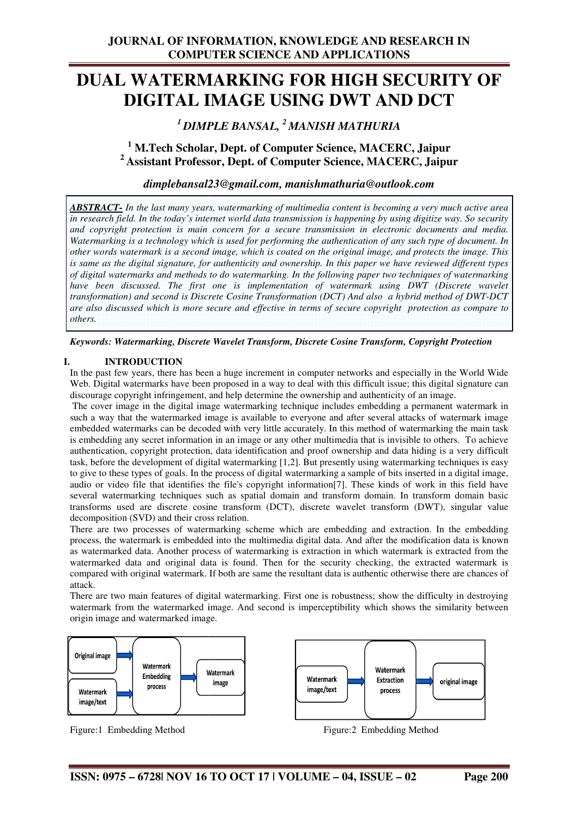# **DUAL WATERMARKING FOR HIGH SECURITY OF DIGITAL IMAGE USING DWT AND DCT**

## *<sup>1</sup>DIMPLE BANSAL, <sup>2</sup>MANISH MATHURIA*

## **<sup>1</sup> M.Tech Scholar, Dept. of Computer Science, MACERC, Jaipur <sup>2</sup>Assistant Professor, Dept. of Computer Science, MACERC, Jaipur**

### *dimplebansal23@gmail.com dimplebansal23@gmail.com, manishmathuria@outlook.com*

*ABSTRACT- In the last many years, watermarking of multimedia content is becoming a very much active area in research field. In the today's internet world data transmission is happening by using digitize way. So security and copyright protection is main concern for a secure transmission in electronic documents and media.*  Watermarking is a technology which is used for performing the authentication of any such type of document. In *other words watermark is a second image, which is coated on the original image, and protects the image. This is same as the digital signature, for authenticity and ownership. In this paper we have reviewed different types of digital watermarks and methods to do watermarking. In the following paper two techniques of watermarking have been discussed. The first one is implementation of watermark using DWT (Discrete wavelet transformation) and second is Discrete Cosine Transformation (DCT) And also a hybrid method of DWT-DCT are also discussed which is more secure and effective in terms of secure copyright protection as compare to others. ods to do watermarking. In the following paper two techniques of watermairst one is implementation of watermark using DWT (Discrete waterstraphics)*<br>Discrete Cosine Transformation (DCT) And also a hybrid method of DWT

*Keywords: Watermarking, Discrete Wavelet Transform, Discrete Cosine Transform, Copyright Protection*

#### **I. INTRODUCTION**

In the past few years, there has been a huge increment in computer networks and especially in the World Wide Web. Digital watermarks have been proposed in a way to deal with this difficult issue; this digital signature can discourage copyright infringement, and help determine the ownership and authenticity of an image.

The cover image in the digital image watermarking technique includes embedding a permanent watermark in such a way that the watermarked image is available to everyone and after several attacks of watermark image embedded watermarks can be decoded with very little accurately. In this method of watermarking the main task is embedding any secret information in an image or any other multimedia that is invisible to others. To achieve authentication, copyright protection, data identification and proof ownership and data hiding is a very difficult embedded watermarks can be decoded with very little accurately. In this method of watermarking the main task is embedding any secret information in an image or any other multimedia that is invisible to others. To achieve a to give to these types of goals. In the process of digital watermarking a sample of bits inserted in a digital image, audio or video file that identifies the file's copyright information[7]. These kinds of work in this field have several watermarking techniques such as spatial domain and transform domain. In transform domain basic transforms used are discrete cosine transform (DCT), discrete wavelet transform (DWT), singular value decomposition (SVD) and their cross relation. ermarking [1,2]. But presently using watermarking techniques is easy<br>ss of digital watermarking a sample of bits inserted in a digital image,<br>'s copyright information[7]. These kinds of work in this field have<br>spatial doma

There are two processes of watermarking scheme which are embedding and extraction process, the watermark is embedded into the multimedia digital data. And after the modification data is known as watermarked data. Another process of watermarking is extraction in which watermark is extracted from the watermarked data and original data is found. Then for the security checking, the extracted watermark is compared with original watermark. If both are same the resultant data is authentic otherwise there are chances of attack. compared with original watermark. If both are same the resultant data is authentic otherwise there are chances of<br>attack.<br>There are two main features of digital watermarking. First one is robustness; show the difficulty in

watermark from the watermarked image. And second is imperceptibility which shows the similarity between origin image and watermarked image.



Figure:1 Embedding Method



Figure:2 Embedding Method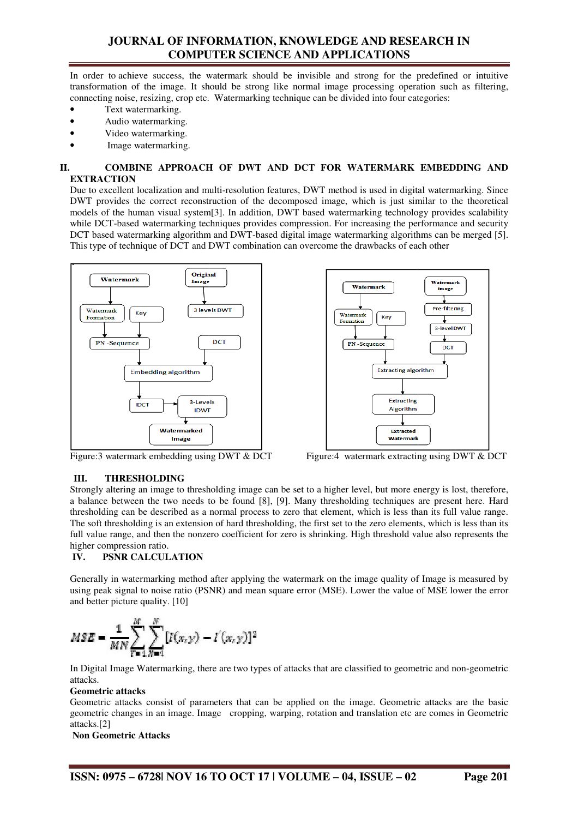## **JOURNAL OF INFORMATION, KNOWLEDGE AND RESEARCH IN COMPUTER SCIENCE AND APPLICATIONS**

In order to achieve success, the watermark should be invisible and strong for the predefined or intuitive In order to achieve success, the watermark should be invisible and strong for the predefined or intuitive transformation of the image. It should be strong like normal image processing operation such as filtering, transformation of the image. It should be strong like normal image processing operation suc<br>connecting noise, resizing, crop etc. Watermarking technique can be divided into four categories:

- Text watermarking.
- Audio watermarking.
- Video watermarking.
- Image watermarking.

#### **II. COMBINE APPROACH OF DWT AND DCT FOR WATERMARK EMBEDDING AND EXTRACTION**

Due to excellent localization and multi-resolution features, DWT method is used in digital watermarking. Since Due to excellent localization and multi-resolution features, DWT method is used in digital watermarking. Since<br>DWT provides the correct reconstruction of the decomposed image, which is just similar to the theoretical models of the human visual system[3]. In addition, DWT based watermarking technology provides scalability while DCT-based watermarking techniques provides compression. For increasing the performance and security while DCT-based watermarking techniques provides compression. For increasing the performance and securit<br>DCT based watermarking algorithm and DWT-based digital image watermarking algorithms can be merged [5 This type of technique of DCT and DWT combination can overcome the drawbacks of each other In addition, DWT based watermarking technology provides scalability<br>ques provides compression. For increasing the performance and security<br>d DWT-based digital image watermarking algorithms can be merged [5].





Figure:3 watermark embedding using DWT & DCT 

#### **III. THRESHOLDING**

Strongly altering an image to thresholding image can be set to a higher level, but more energy is lost, therefore, a balance between the two needs to be found [8], [9]. Many thresholding techniques are present here. Hard thresholding can be described as a normal process to zero that element, which is less than its full value range. The soft thresholding is an extension of hard thresholding, the first set to the zero elements, which is less than its full value range, and then the nonzero coefficient for zero is shrinking. High threshold value also represents the higher compression ratio.

#### **IV. PSNR CALCULATION**

Generally in watermarking method after applying the watermark on the image quality of Image is measured by using peak signal to noise ratio (PSNR) and mean square error (MSE). Lower the value of MSE lower the error and better picture quality. [10]

$$
MSE = \frac{1}{MN} \sum_{T=1}^{M} \sum_{N=1}^{N} [I(x, y) - I'(x, y)]^{2}
$$

In Digital Image Watermarking, there are two types of attacks that are classified to geometric and non-geometric attacks.

#### **Geometric attacks**

Geometric attacks consist of parameters that can be applied on the image. Geometric attacks are the basic geometric changes in an image. Image cropping, warping, rotation and translation etc are comes in Geometric attacks.[2]

**Non Geometric Attacks**